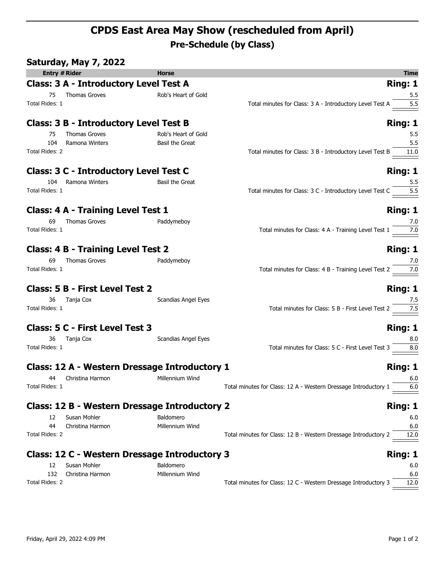## **CPDS East Area May Show (rescheduled from April) Pre-Schedule (by Class)**

|                      | Saturday, May 7, 2022                         |                        |                                                                                                  |                |
|----------------------|-----------------------------------------------|------------------------|--------------------------------------------------------------------------------------------------|----------------|
| <b>Entry # Rider</b> |                                               | <b>Horse</b>           |                                                                                                  | <b>Time</b>    |
|                      | <b>Class: 3 A - Introductory Level Test A</b> |                        |                                                                                                  | Ring: 1        |
| 75                   | Thomas Groves                                 | Rob's Heart of Gold    |                                                                                                  | 5.5            |
| Total Rides: 1       |                                               |                        | Total minutes for Class: 3 A - Introductory Level Test A 5.5                                     |                |
|                      | <b>Class: 3 B - Introductory Level Test B</b> |                        |                                                                                                  | Ring: 1        |
| 75                   | Thomas Groves                                 | Rob's Heart of Gold    |                                                                                                  | 5.5            |
| 104                  | Ramona Winters                                | Basil the Great        |                                                                                                  | 5.5            |
| Total Rides: 2       |                                               |                        | Total minutes for Class: 3 B - Introductory Level Test B 11.0                                    |                |
|                      | <b>Class: 3 C - Introductory Level Test C</b> |                        |                                                                                                  | Ring: 1        |
| 104                  | Ramona Winters                                | <b>Basil the Great</b> |                                                                                                  | 5.5            |
| Total Rides: 1       |                                               |                        | Total minutes for Class: $3 \text{ C}$ - Introductory Level Test C $\overline{\hspace{1cm} 5.5}$ |                |
|                      | <b>Class: 4 A - Training Level Test 1</b>     |                        |                                                                                                  | Ring: 1        |
| 69                   | Thomas Groves                                 | Paddymeboy             |                                                                                                  |                |
| Total Rides: 1       |                                               |                        | Total minutes for Class: $4 A - T r^2$ Training Level Test $1 \frac{7.0}{\frac{7.0}{\cdots}}$    |                |
|                      | <b>Class: 4 B - Training Level Test 2</b>     |                        |                                                                                                  | Ring: 1        |
| 69                   | <b>Thomas Groves</b>                          | Paddymeboy             |                                                                                                  | 7.0            |
| Total Rides: 1       |                                               |                        |                                                                                                  |                |
|                      | <b>Class: 5 B - First Level Test 2</b>        |                        |                                                                                                  | Ring: 1        |
|                      | 36 Tanja Cox                                  | Scandias Angel Eyes    |                                                                                                  |                |
| Total Rides: 1       |                                               |                        | Total minutes for Class: 5 B - First Level Test 2 $\frac{7.5}{\underline{\hspace{1cm}7.5}}$      |                |
|                      | <b>Class: 5 C - First Level Test 3</b>        |                        |                                                                                                  | <b>Ring: 1</b> |
|                      | 36 Tanja Cox                                  | Scandias Angel Eyes    |                                                                                                  | 8.0            |
| Total Rides: 1       |                                               |                        | Total minutes for Class: $5 \text{ C}$ - First Level Test $3 \overline{\hspace{1cm} 8.0}$        |                |
|                      | Class: 12 A - Western Dressage Introductory 1 |                        |                                                                                                  | Ring: 1        |
|                      | 44 Christina Harmon Millennium Wind           |                        |                                                                                                  | 6.0            |
| Total Rides: 1       |                                               |                        | Total minutes for Class: 12 A - Western Dressage Introductory 1                                  | 6.0            |
|                      | Class: 12 B - Western Dressage Introductory 2 |                        |                                                                                                  | Ring: 1        |
| 12                   | Susan Mohler                                  | Baldomero              |                                                                                                  | 6.0            |
| 44                   | Christina Harmon                              | Millennium Wind        |                                                                                                  | 6.0            |
| Total Rides: 2       |                                               |                        | Total minutes for Class: 12 B - Western Dressage Introductory 2                                  | 12.0           |
|                      | Class: 12 C - Western Dressage Introductory 3 |                        |                                                                                                  | Ring: 1        |
| 12                   | Susan Mohler                                  | Baldomero              |                                                                                                  | 6.0            |
| 132                  | Christina Harmon                              | Millennium Wind        |                                                                                                  | 6.0            |
| Total Rides: 2       |                                               |                        | Total minutes for Class: 12 C - Western Dressage Introductory 3                                  | 12.0           |